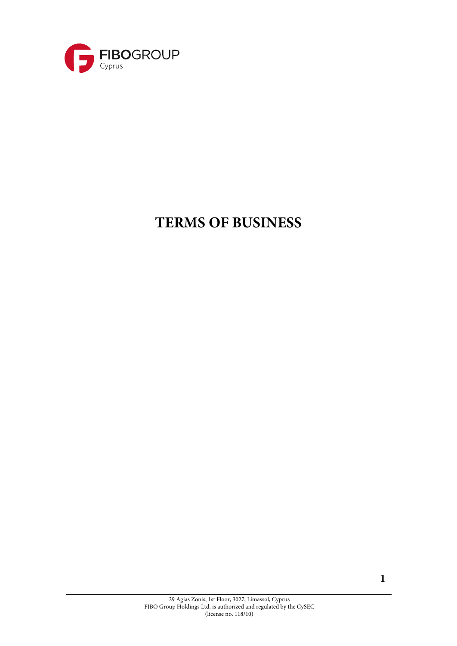

# **TERMS OF BUSINESS**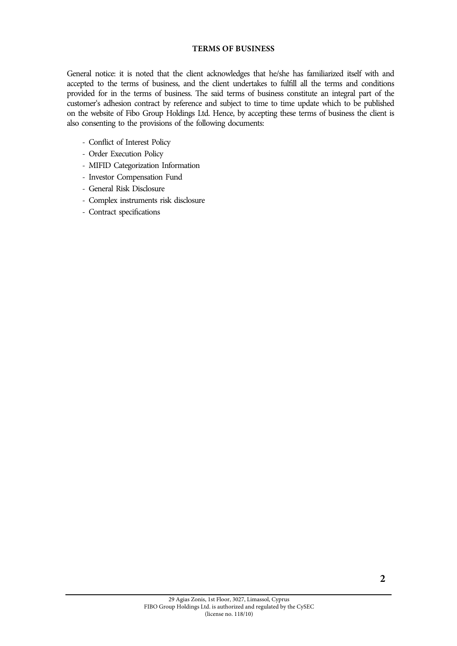# **TERMS OF BUSINESS**

General notice: it is noted that the client acknowledges that he/she has familiarized itself with and accepted to the terms of business, and the client undertakes to fulfill all the terms and conditions provided for in the terms of business. The said terms of business constitute an integral part of the customer's adhesion contract by reference and subject to time to time update which to be published on the website of Fibo Group Holdings Ltd. Hence, by accepting these terms of business the client is also consenting to the provisions of the following documents:

- Conflict of Interest Policy
- Order Execution Policy
- MIFID Categorization Information
- Investor Compensation Fund
- General Risk Disclosure
- Complex instruments risk disclosure
- Contract specifications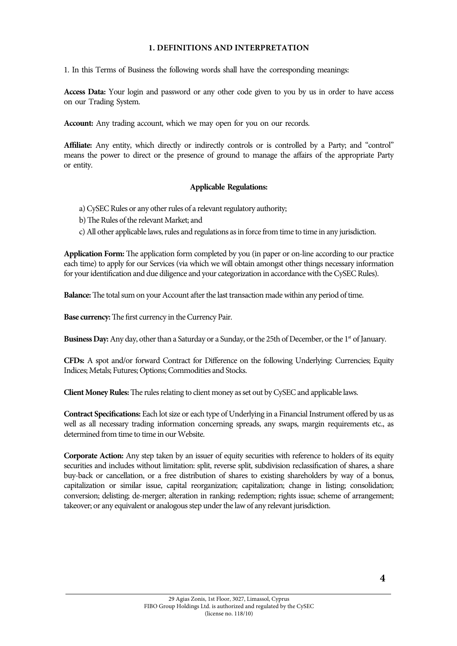#### **1. DEFINITIONS AND INTERPRETATION**

1. In this Terms of Business the following words shall have the corresponding meanings:

**Access Data:** Your login and password or any other code given to you by us in order to have access on our Trading System.

**Account:** Any trading account, which we may open for you on our records.

Affiliate: Any entity, which directly or indirectly controls or is controlled by a Party; and "control" means the power to direct or the presence of ground to manage the affairs of the appropriate Party or entity.

## **Applicable Regulations:**

- a) CySEC Rules or any other rules of a relevant regulatory authority;
- b)The Rules of the relevant Market; and
- c) All other applicable laws, rules and regulations as in force from time to time in any jurisdiction.

**Application Form:** The application form completed by you (in paper or on-line according to our practice each time) to apply for our Services (via which we will obtain amongst other things necessary information for your identification and due diligence and your categorization in accordance with the CySEC Rules).

**Balance:**The total sum on your Account after the last transaction made within any period of time.

**Base currency:**The first currency in the Currency Pair.

**Business Day:** Any day, other than a Saturday or a Sunday, or the 25th of December, or the 1<sup>st</sup> of January.

**CFDs:** A spot and/or forward Contract for Difference on the following Underlying: Currencies; Equity Indices; Metals; Futures; Options; Commodities and Stocks.

**ClientMoney Rules:**The rules relating to client money as set out by CySEC and applicable laws.

**Contract Specifications:** Each lot size or each type of Underlying in a Financial Instrument offered by us as well as all necessary trading information concerning spreads, any swaps, margin requirements etc., as determined from time to time in our Website.

**Corporate Action:** Any step taken by an issuer of equity securities with reference to holders of its equity securities and includes without limitation: split, reverse split, subdivision reclassification of shares, a share buy-back or cancellation, or a free distribution of shares to existing shareholders by way of a bonus, capitalization or similar issue, capital reorganization; capitalization; change in listing; consolidation; conversion; delisting; de-merger; alteration in ranking; redemption; rights issue; scheme of arrangement; takeover; or any equivalent or analogous step under the law of any relevant jurisdiction.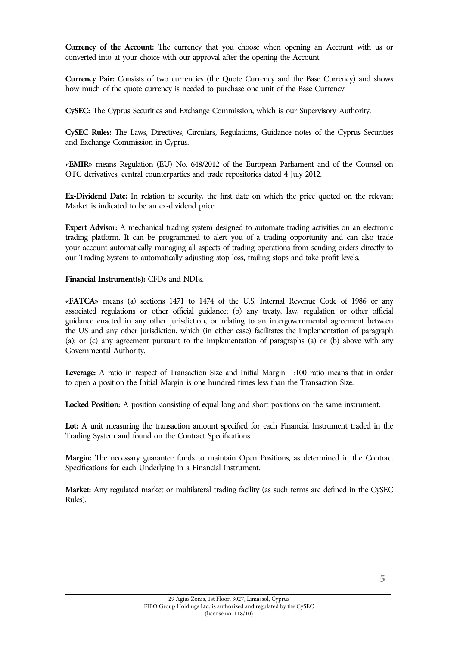**Currency of the Account:** The currency that you choose when opening an Account with us or converted into at your choice with our approval after the opening the Account.

**Currency Pair:** Consists of two currencies (the Quote Currency and the Base Currency) and shows how much of the quote currency is needed to purchase one unit of the Base Currency.

**CySEC:** The Cyprus Securities and Exchange Commission, which is our Supervisory Authority.

**CySEC Rules:** The Laws, Directives, Circulars, Regulations, Guidance notes of the Cyprus Securities and Exchange Commission in Cyprus.

**«EMIR»** means Regulation (EU) No. 648/2012 of the European Parliament and of the Counsel on OTC derivatives, central counterparties and trade repositories dated 4 July 2012.

**Ex-Dividend Date:** In relation to security, the first date on which the price quoted on the relevant Market is indicated to be an ex-dividend price.

**Expert Advisor:** A mechanical trading system designed to automate trading activities on an electronic trading platform. It can be programmed to alert you of a trading opportunity and can also trade your account automatically managing all aspects of trading operations from sending orders directly to our Trading System to automatically adjusting stop loss, trailing stops and take profit levels.

## **Financial Instrument(s):** CFDs and NDFs.

**«FATCA»** means (a) sections 1471 to 1474 of the U.S. Internal Revenue Code of 1986 or any associated regulations or other official guidance; (b) any treaty, law, regulation or other official guidance enacted in any other jurisdiction, or relating to an intergovernmental agreement between the US and any other jurisdiction, which (in either case) facilitates the implementation of paragraph (a); or (c) any agreement pursuant to the implementation of paragraphs (a) or (b) above with any Governmental Authority.

**Leverage:** A ratio in respect of Transaction Size and Initial Margin. 1:100 ratio means that in order to open a position the Initial Margin is one hundred times less than the Transaction Size.

**Locked Position:** A position consisting of equal long and short positions on the same instrument.

**Lot:** A unit measuring the transaction amount specified for each Financial Instrument traded in the Trading System and found on the Contract Specifications.

**Margin:** The necessary guarantee funds to maintain Open Positions, as determined in the Contract Specifications for each Underlying in a Financial Instrument.

**Market:** Any regulated market or multilateral trading facility (as such terms are defined in the CySEC Rules).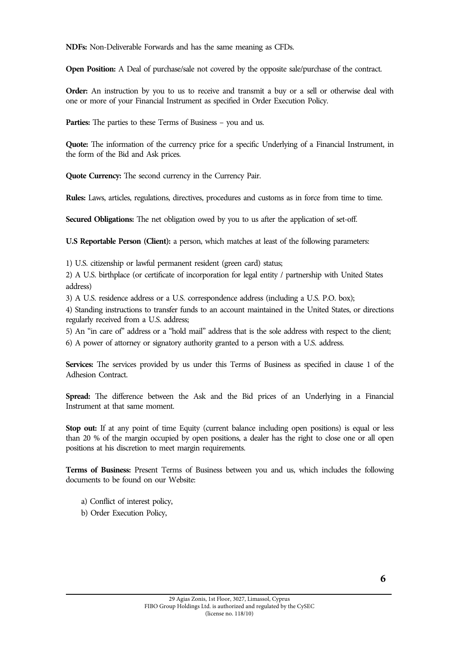**NDFs:** Non-Deliverable Forwards and has the same meaning as CFDs.

**Open Position:** A Deal of purchase/sale not covered by the opposite sale/purchase of the contract.

**Order:** An instruction by you to us to receive and transmit a buy or a sell or otherwise deal with one or more of your Financial Instrument as specified in Order Execution Policy.

**Parties:** The parties to these Terms of Business – you and us.

**Quote:** The information of the currency price for a specific Underlying of a Financial Instrument, in the form of the Bid and Ask prices.

**Quote Currency:** The second currency in the Currency Pair.

**Rules:** Laws, articles, regulations, directives, procedures and customs as in force from time to time.

**Secured Obligations:** The net obligation owed by you to us after the application of set-off.

**U.S Reportable Person (Client):** a person, which matches at least of the following parameters:

1) U.S. citizenship or lawful permanent resident (green card) status;

2) A U.S. birthplace (or certificate of incorporation for legal entity / partnership with United States address)

3) A U.S. residence address or a U.S. correspondence address (including a U.S. P.O. box);

4) Standing instructions to transfer funds to an account maintained in the United States, or directions regularly received from a U.S. address;

5) An "in care of" address or a "hold mail" address that is the sole address with respect to the client; 6) A power of attorney or signatory authority granted to a person with a U.S. address.

**Services:** The services provided by us under this Terms of Business as specified in clause 1 of the Adhesion Contract.

**Spread:** The difference between the Ask and the Bid prices of an Underlying in a Financial Instrument at that same moment.

**Stop out:** If at any point of time Equity (current balance including open positions) is equal or less than 20 % of the margin occupied by open positions, a dealer has the right to close one or all open positions at his discretion to meet margin requirements.

**Terms of Business:** Present Terms of Business between you and us, which includes the following documents to be found on our Website:

- a) Conflict of interest policy,
- b) Order Execution Policy,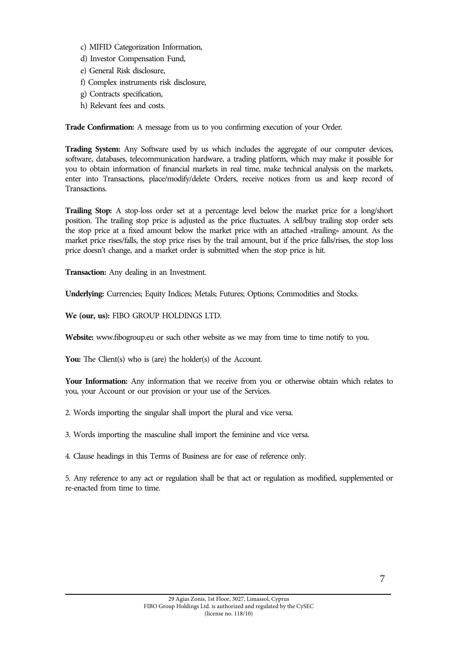- c) MIFID Categorization Information,
- d) Investor Compensation Fund,
- e) General Risk disclosure,
- f) Complex instruments risk disclosure,
- g) Contracts specification,
- h) Relevant fees and costs.

**Trade Confirmation:** A message from us to you confirming execution of your Order.

**Trading System:** Any Software used by us which includes the aggregate of our computer devices, software, databases, telecommunication hardware, a trading platform, which may make it possible for you to obtain information of financial markets in real time, make technical analysis on the markets, enter into Transactions, place/modify/delete Orders, receive notices from us and keep record of Transactions.

**Trailing Stop:** A stop-loss order set at a percentage level below the market price for a long/short position. The trailing stop price is adjusted as the price fluctuates. A sell/buy trailing stop order sets the stop price at a fixed amount below the market price with an attached «trailing» amount. As the market price rises/falls, the stop price rises by the trail amount, but if the price falls/rises, the stop loss price doesn't change, and a market order is submitted when the stop price is hit.

**Transaction:** Any dealing in an Investment.

**Underlying:** Currencies; Equity Indices; Metals; Futures; Options; Commodities and Stocks.

**We (our, us):** FIBO GROUP HOLDINGS LTD.

**Website:** www.fibogroup.eu or such other website as we may from time to time notify to you.

You: The Client(s) who is (are) the holder(s) of the Account.

Your Information: Any information that we receive from you or otherwise obtain which relates to you, your Account or our provision or your use of the Services.

2. Words importing the singular shall import the plural and vice versa.

3. Words importing the masculine shall import the feminine and vice versa.

4. Clause headings in this Terms of Business are for ease of reference only.

5. Any reference to any act or regulation shall be that act or regulation as modified, supplemented or re-enacted from time to time.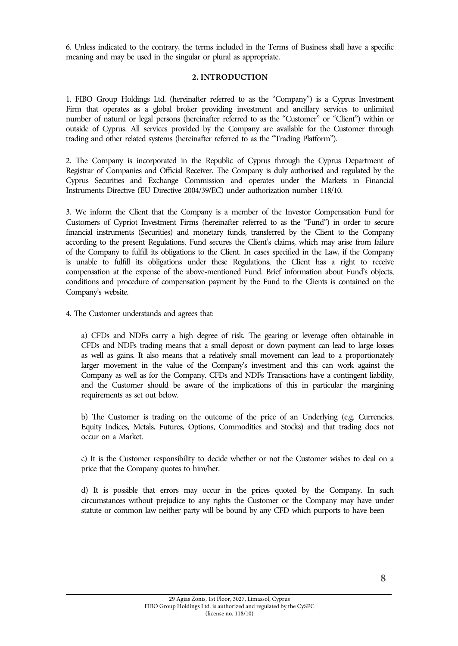6. Unless indicated to the contrary, the terms included in the Terms of Business shall have a specific meaning and may be used in the singular or plural as appropriate.

# **2. INTRODUCTION**

1. FIBO Group Holdings Ltd. (hereinafter referred to as the "Company") is a Cyprus Investment Firm that operates as a global broker providing investment and ancillary services to unlimited number of natural or legal persons (hereinafter referred to as the "Customer" or "Client") within or outside of Cyprus. All services provided by the Company are available for the Customer through trading and other related systems (hereinafter referred to as the "Trading Platform").

2. The Company is incorporated in the Republic of Cyprus through the Cyprus Department of Registrar of Companies and Official Receiver. The Company is duly authorised and regulated by the Cyprus Securities and Exchange Commission and operates under the Markets in Financial Instruments Directive (EU Directive 2004/39/EC) under authorization number 118/10.

3. We inform the Client that the Company is a member of the Investor Compensation Fund for Customers of Cypriot Investment Firms (hereinafter referred to as the "Fund") in order to secure financial instruments (Securities) and monetary funds, transferred by the Client to the Company according to the present Regulations. Fund secures the Client's claims, which may arise from failure of the Company to fulfill its obligations to the Client. In cases specified in the Law, if the Company is unable to fulfill its obligations under these Regulations, the Client has a right to receive compensation at the expense of the above-mentioned Fund. Brief information about Fund's objects, conditions and procedure of compensation payment by the Fund to the Clients is contained on the Company's website.

4. The Customer understands and agrees that:

a) CFDs and NDFs carry a high degree of risk. The gearing or leverage often obtainable in CFDs and NDFs trading means that a small deposit or down payment can lead to large losses as well as gains. It also means that a relatively small movement can lead to a proportionately larger movement in the value of the Company's investment and this can work against the Company as well as for the Company. CFDs and NDFs Transactions have a contingent liability, and the Customer should be aware of the implications of this in particular the margining requirements as set out below.

b) The Customer is trading on the outcome of the price of an Underlying (e.g. Currencies, Equity Indices, Metals, Futures, Options, Commodities and Stocks) and that trading does not occur on a Market.

c) It is the Customer responsibility to decide whether or not the Customer wishes to deal on a price that the Company quotes to him/her.

d) It is possible that errors may occur in the prices quoted by the Company. In such circumstances without prejudice to any rights the Customer or the Company may have under statute or common law neither party will be bound by any CFD which purports to have been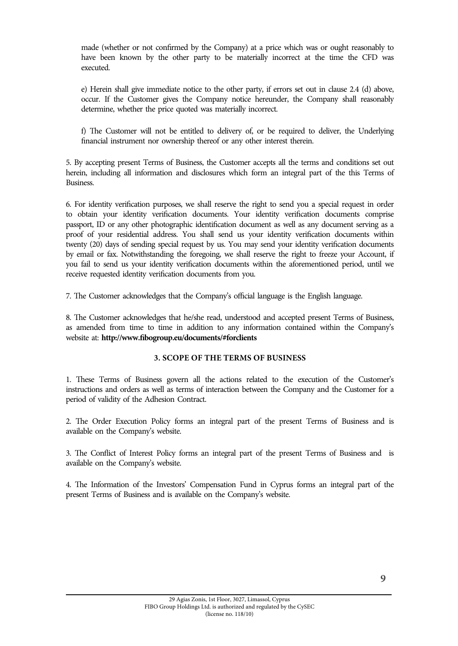made (whether or not confirmed by the Company) at a price which was or ought reasonably to have been known by the other party to be materially incorrect at the time the CFD was executed.

e) Herein shall give immediate notice to the other party, if errors set out in clause 2.4 (d) above, occur. If the Customer gives the Company notice hereunder, the Company shall reasonably determine, whether the price quoted was materially incorrect.

f) The Customer will not be entitled to delivery of, or be required to deliver, the Underlying financial instrument nor ownership thereof or any other interest therein.

5. By accepting present Terms of Business, the Customer accepts all the terms and conditions set out herein, including all information and disclosures which form an integral part of the this Terms of Business.

6. For identity verification purposes, we shall reserve the right to send you a special request in order to obtain your identity verification documents. Your identity verification documents comprise passport, ID or any other photographic identification document as well as any document serving as a proof of your residential address. You shall send us your identity verification documents within twenty (20) days of sending special request by us. You may send your identity verification documents by email or fax. Notwithstanding the foregoing, we shall reserve the right to freeze your Account, if you fail to send us your identity verification documents within the aforementioned period, until we receive requested identity verification documents from you.

7. The Customer acknowledges that the Company's official language is the English language.

8. The Customer acknowledges that he/she read, understood and accepted present Terms of Business, as amended from time to time in addition to any information contained within the Company's website at: **http://www.fibogroup.eu/documents/#forclients**

#### **3. SCOPE OF THE TERMS OF BUSINESS**

1. These Terms of Business govern all the actions related to the execution of the Customer's instructions and orders as well as terms of interaction between the Company and the Customer for a period of validity of the Adhesion Contract.

2. The Order Execution Policy forms an integral part of the present Terms of Business and is available on the Company's website.

3. The Conflict of Interest Policy forms an integral part of the present Terms of Business and is available on the Company's website.

4. The Information of the Investors' Compensation Fund in Cyprus forms an integral part of the present Terms of Business and is available on the Company's website.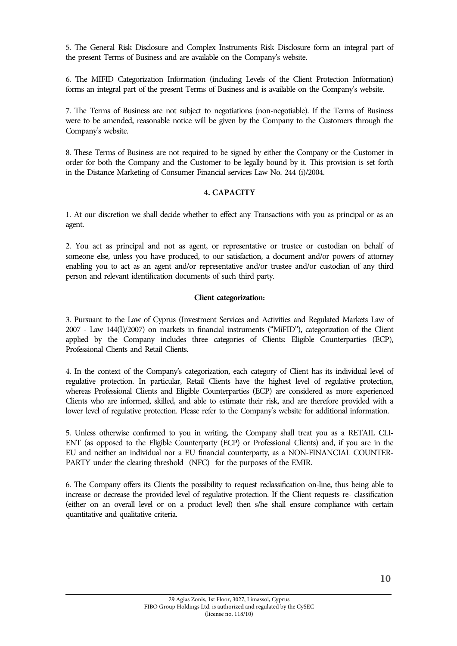5. The General Risk Disclosure and Complex Instruments Risk Disclosure form an integral part of the present Terms of Business and are available on the Company's website.

6. The MIFID Categorization Information (including Levels of the Client Protection Information) forms an integral part of the present Terms of Business and is available on the Company's website.

7. The Terms of Business are not subject to negotiations (non-negotiable). If the Terms of Business were to be amended, reasonable notice will be given by the Company to the Customers through the Company's website.

8. These Terms of Business are not required to be signed by either the Company or the Customer in order for both the Company and the Customer to be legally bound by it. This provision is set forth in the Distance Marketing of Consumer Financial services Law No. 244 (i)/2004.

## **4. CAPACITY**

1. At our discretion we shall decide whether to effect any Transactions with you as principal or as an agent.

2. You act as principal and not as agent, or representative or trustee or custodian on behalf of someone else, unless you have produced, to our satisfaction, a document and/or powers of attorney enabling you to act as an agent and/or representative and/or trustee and/or custodian of any third person and relevant identification documents of such third party.

## **Client categorization:**

3. Pursuant to the Law of Cyprus (Investment Services and Activities and Regulated Markets Law of 2007 - Law 144(I)/2007) on markets in financial instruments ("MiFID"), categorization of the Client applied by the Company includes three categories of Clients: Eligible Counterparties (ECP), Professional Clients and Retail Clients.

4. In the context of the Company's categorization, each category of Client has its individual level of regulative protection. In particular, Retail Clients have the highest level of regulative protection, whereas Professional Clients and Eligible Counterparties (ECP) are considered as more experienced Clients who are informed, skilled, and able to estimate their risk, and are therefore provided with a lower level of regulative protection. Please refer to the Company's website for additional information.

5. Unless otherwise confirmed to you in writing, the Company shall treat you as a RETAIL CLI-ENT (as opposed to the Eligible Counterparty (ECP) or Professional Clients) and, if you are in the EU and neither an individual nor a EU financial counterparty, as a NON-FINANCIAL COUNTER-PARTY under the clearing threshold (NFC) for the purposes of the EMIR.

6. The Company offers its Clients the possibility to request reclassification on-line, thus being able to increase or decrease the provided level of regulative protection. If the Client requests re- classification (either on an overall level or on a product level) then s/he shall ensure compliance with certain quantitative and qualitative criteria.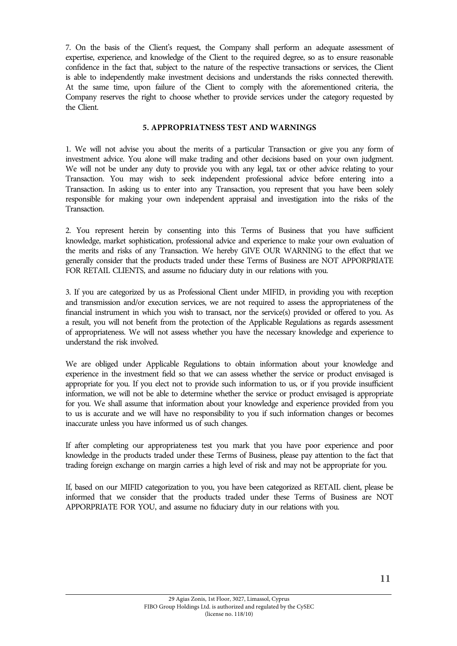7. On the basis of the Client's request, the Company shall perform an adequate assessment of expertise, experience, and knowledge of the Client to the required degree, so as to ensure reasonable confidence in the fact that, subject to the nature of the respective transactions or services, the Client is able to independently make investment decisions and understands the risks connected therewith. At the same time, upon failure of the Client to comply with the aforementioned criteria, the Company reserves the right to choose whether to provide services under the category requested by the Client.

## **5. APPROPRIATNESS TEST AND WARNINGS**

1. We will not advise you about the merits of a particular Transaction or give you any form of investment advice. You alone will make trading and other decisions based on your own judgment. We will not be under any duty to provide you with any legal, tax or other advice relating to your Transaction. You may wish to seek independent professional advice before entering into a Transaction. In asking us to enter into any Transaction, you represent that you have been solely responsible for making your own independent appraisal and investigation into the risks of the Transaction.

2. You represent herein by consenting into this Terms of Business that you have sufficient knowledge, market sophistication, professional advice and experience to make your own evaluation of the merits and risks of any Transaction. We hereby GIVE OUR WARNING to the effect that we generally consider that the products traded under these Terms of Business are NOT APPORPRIATE FOR RETAIL CLIENTS, and assume no fiduciary duty in our relations with you.

3. If you are categorized by us as Professional Client under MIFID, in providing you with reception and transmission and/or execution services, we are not required to assess the appropriateness of the financial instrument in which you wish to transact, nor the service(s) provided or offered to you. As a result, you will not benefit from the protection of the Applicable Regulations as regards assessment of appropriateness. We will not assess whether you have the necessary knowledge and experience to understand the risk involved.

We are obliged under Applicable Regulations to obtain information about your knowledge and experience in the investment field so that we can assess whether the service or product envisaged is appropriate for you. If you elect not to provide such information to us, or if you provide insufficient information, we will not be able to determine whether the service or product envisaged is appropriate for you. We shall assume that information about your knowledge and experience provided from you to us is accurate and we will have no responsibility to you if such information changes or becomes inaccurate unless you have informed us of such changes.

If after completing our appropriateness test you mark that you have poor experience and poor knowledge in the products traded under these Terms of Business, please pay attention to the fact that trading foreign exchange on margin carries a high level of risk and may not be appropriate for you.

If, based on our MIFID categorization to you, you have been categorized as RETAIL client, please be informed that we consider that the products traded under these Terms of Business are NOT APPORPRIATE FOR YOU, and assume no fiduciary duty in our relations with you.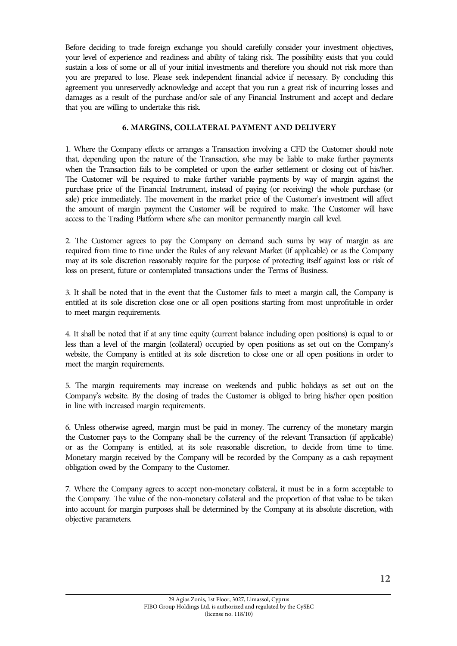Before deciding to trade foreign exchange you should carefully consider your investment objectives, your level of experience and readiness and ability of taking risk. The possibility exists that you could sustain a loss of some or all of your initial investments and therefore you should not risk more than you are prepared to lose. Please seek independent financial advice if necessary. By concluding this agreement you unreservedly acknowledge and accept that you run a great risk of incurring losses and damages as a result of the purchase and/or sale of any Financial Instrument and accept and declare that you are willing to undertake this risk.

# **6. MARGINS, COLLATERAL PAYMENT AND DELIVERY**

1. Where the Company effects or arranges a Transaction involving a CFD the Customer should note that, depending upon the nature of the Transaction, s/he may be liable to make further payments when the Transaction fails to be completed or upon the earlier settlement or closing out of his/her. The Customer will be required to make further variable payments by way of margin against the purchase price of the Financial Instrument, instead of paying (or receiving) the whole purchase (or sale) price immediately. The movement in the market price of the Customer's investment will affect the amount of margin payment the Customer will be required to make. The Customer will have access to the Trading Platform where s/he can monitor permanently margin call level.

2. The Customer agrees to pay the Company on demand such sums by way of margin as are required from time to time under the Rules of any relevant Market (if applicable) or as the Company may at its sole discretion reasonably require for the purpose of protecting itself against loss or risk of loss on present, future or contemplated transactions under the Terms of Business.

3. It shall be noted that in the event that the Customer fails to meet a margin call, the Company is entitled at its sole discretion close one or all open positions starting from most unprofitable in order to meet margin requirements.

4. It shall be noted that if at any time equity (current balance including open positions) is equal to or less than a level of the margin (collateral) occupied by open positions as set out on the Company's website, the Company is entitled at its sole discretion to close one or all open positions in order to meet the margin requirements.

5. The margin requirements may increase on weekends and public holidays as set out on the Company's website. By the closing of trades the Customer is obliged to bring his/her open position in line with increased margin requirements.

6. Unless otherwise agreed, margin must be paid in money. The currency of the monetary margin the Customer pays to the Company shall be the currency of the relevant Transaction (if applicable) or as the Company is entitled, at its sole reasonable discretion, to decide from time to time. Monetary margin received by the Company will be recorded by the Company as a cash repayment obligation owed by the Company to the Customer.

7. Where the Company agrees to accept non-monetary collateral, it must be in a form acceptable to the Company. The value of the non-monetary collateral and the proportion of that value to be taken into account for margin purposes shall be determined by the Company at its absolute discretion, with objective parameters.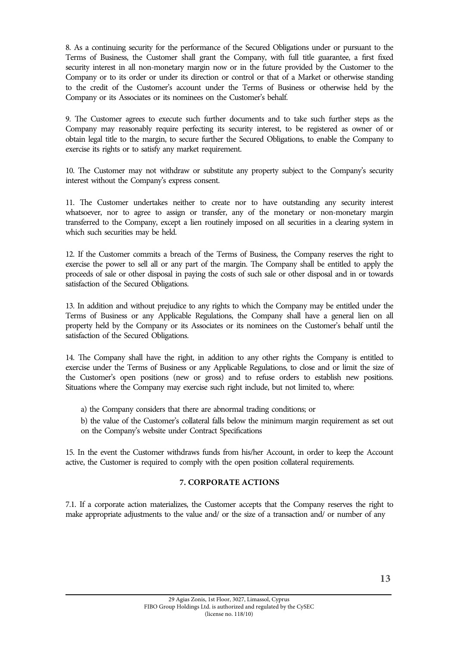8. As a continuing security for the performance of the Secured Obligations under or pursuant to the Terms of Business, the Customer shall grant the Company, with full title guarantee, a first fixed security interest in all non-monetary margin now or in the future provided by the Customer to the Company or to its order or under its direction or control or that of a Market or otherwise standing to the credit of the Customer's account under the Terms of Business or otherwise held by the Company or its Associates or its nominees on the Customer's behalf.

9. The Customer agrees to execute such further documents and to take such further steps as the Company may reasonably require perfecting its security interest, to be registered as owner of or obtain legal title to the margin, to secure further the Secured Obligations, to enable the Company to exercise its rights or to satisfy any market requirement.

10. The Customer may not withdraw or substitute any property subject to the Company's security interest without the Company's express consent.

11. The Customer undertakes neither to create nor to have outstanding any security interest whatsoever, nor to agree to assign or transfer, any of the monetary or non-monetary margin transferred to the Company, except a lien routinely imposed on all securities in a clearing system in which such securities may be held.

12. If the Customer commits a breach of the Terms of Business, the Company reserves the right to exercise the power to sell all or any part of the margin. The Company shall be entitled to apply the proceeds of sale or other disposal in paying the costs of such sale or other disposal and in or towards satisfaction of the Secured Obligations.

13. In addition and without prejudice to any rights to which the Company may be entitled under the Terms of Business or any Applicable Regulations, the Company shall have a general lien on all property held by the Company or its Associates or its nominees on the Customer's behalf until the satisfaction of the Secured Obligations.

14. The Company shall have the right, in addition to any other rights the Company is entitled to exercise under the Terms of Business or any Applicable Regulations, to close and or limit the size of the Customer's open positions (new or gross) and to refuse orders to establish new positions. Situations where the Company may exercise such right include, but not limited to, where:

a) the Company considers that there are abnormal trading conditions; or

b) the value of the Customer's collateral falls below the minimum margin requirement as set out on the Company's website under Contract Specifications

15. In the event the Customer withdraws funds from his/her Account, in order to keep the Account active, the Customer is required to comply with the open position collateral requirements.

# **7. CORPORATE ACTIONS**

7.1. If a corporate action materializes, the Customer accepts that the Company reserves the right to make appropriate adjustments to the value and/ or the size of a transaction and/ or number of any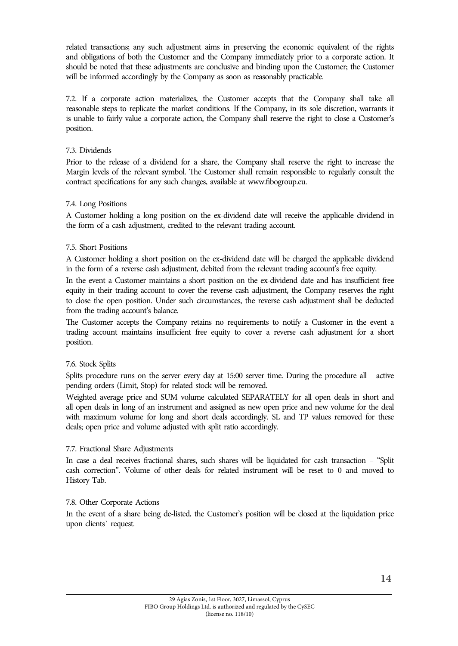related transactions; any such adjustment aims in preserving the economic equivalent of the rights and obligations of both the Customer and the Company immediately prior to a corporate action. It should be noted that these adjustments are conclusive and binding upon the Customer; the Customer will be informed accordingly by the Company as soon as reasonably practicable.

7.2. If a corporate action materializes, the Customer accepts that the Company shall take all reasonable steps to replicate the market conditions. If the Company, in its sole discretion, warrants it is unable to fairly value a corporate action, the Company shall reserve the right to close a Customer's position.

# 7.3. Dividends

Prior to the release of a dividend for a share, the Company shall reserve the right to increase the Margin levels of the relevant symbol. The Customer shall remain responsible to regularly consult the contract specifications for any such changes, available at www.fibogroup.eu.

## 7.4. Long Positions

A Customer holding a long position on the ex-dividend date will receive the applicable dividend in the form of a cash adjustment, credited to the relevant trading account.

## 7.5. Short Positions

A Customer holding a short position on the ex-dividend date will be charged the applicable dividend in the form of a reverse cash adjustment, debited from the relevant trading account's free equity.

In the event a Customer maintains a short position on the ex-dividend date and has insufficient free equity in their trading account to cover the reverse cash adjustment, the Company reserves the right to close the open position. Under such circumstances, the reverse cash adjustment shall be deducted from the trading account's balance.

The Customer accepts the Company retains no requirements to notify a Customer in the event a trading account maintains insufficient free equity to cover a reverse cash adjustment for a short position.

# 7.6. Stock Splits

Splits procedure runs on the server every day at 15:00 server time. During the procedure all active pending orders (Limit, Stop) for related stock will be removed.

Weighted average price and SUM volume calculated SEPARATELY for all open deals in short and all open deals in long of an instrument and assigned as new open price and new volume for the deal with maximum volume for long and short deals accordingly. SL and TP values removed for these deals; open price and volume adjusted with split ratio accordingly.

# 7.7. Fractional Share Adjustments

In case a deal receives fractional shares, such shares will be liquidated for cash transaction – "Split cash correction". Volume of other deals for related instrument will be reset to 0 and moved to History Tab.

#### 7.8. Other Corporate Actions

In the event of a share being de-listed, the Customer's position will be closed at the liquidation price upon clients` request.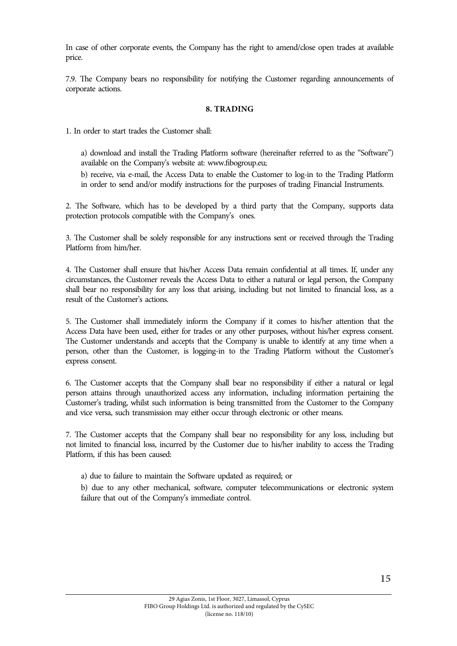In case of other corporate events, the Company has the right to amend/close open trades at available price.

7.9. The Company bears no responsibility for notifying the Customer regarding announcements of corporate actions.

#### **8. TRADING**

1. In order to start trades the Customer shall:

a) download and install the Trading Platform software (hereinafter referred to as the "Software") available on the Company's website at: www.fibogroup.eu;

b) receive, via e-mail, the Access Data to enable the Customer to log-in to the Trading Platform in order to send and/or modify instructions for the purposes of trading Financial Instruments.

2. The Software, which has to be developed by a third party that the Company, supports data protection protocols compatible with the Company's ones.

3. The Customer shall be solely responsible for any instructions sent or received through the Trading Platform from him/her.

4. The Customer shall ensure that his/her Access Data remain confidential at all times. If, under any circumstances, the Customer reveals the Access Data to either a natural or legal person, the Company shall bear no responsibility for any loss that arising, including but not limited to financial loss, as a result of the Customer's actions.

5. The Customer shall immediately inform the Company if it comes to his/her attention that the Access Data have been used, either for trades or any other purposes, without his/her express consent. The Customer understands and accepts that the Company is unable to identify at any time when a person, other than the Customer, is logging-in to the Trading Platform without the Customer's express consent.

6. The Customer accepts that the Company shall bear no responsibility if either a natural or legal person attains through unauthorized access any information, including information pertaining the Customer's trading, whilst such information is being transmitted from the Customer to the Company and vice versa, such transmission may either occur through electronic or other means.

7. The Customer accepts that the Company shall bear no responsibility for any loss, including but not limited to financial loss, incurred by the Customer due to his/her inability to access the Trading Platform, if this has been caused:

a) due to failure to maintain the Software updated as required; or

b) due to any other mechanical, software, computer telecommunications or electronic system failure that out of the Company's immediate control.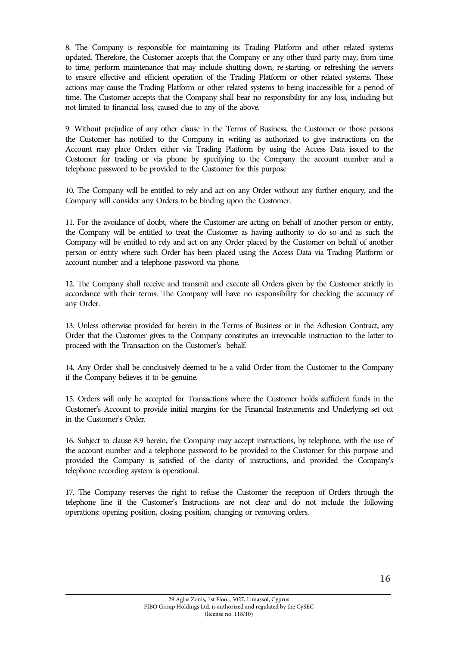8. The Company is responsible for maintaining its Trading Platform and other related systems updated. Therefore, the Customer accepts that the Company or any other third party may, from time to time, perform maintenance that may include shutting down, re-starting, or refreshing the servers to ensure effective and efficient operation of the Trading Platform or other related systems. These actions may cause the Trading Platform or other related systems to being inaccessible for a period of time. The Customer accepts that the Company shall bear no responsibility for any loss, including but not limited to financial loss, caused due to any of the above.

9. Without prejudice of any other clause in the Terms of Business, the Customer or those persons the Customer has notified to the Company in writing as authorized to give instructions on the Account may place Orders either via Trading Platform by using the Access Data issued to the Customer for trading or via phone by specifying to the Company the account number and a telephone password to be provided to the Customer for this purpose

10. The Company will be entitled to rely and act on any Order without any further enquiry, and the Company will consider any Orders to be binding upon the Customer.

11. For the avoidance of doubt, where the Customer are acting on behalf of another person or entity, the Company will be entitled to treat the Customer as having authority to do so and as such the Company will be entitled to rely and act on any Order placed by the Customer on behalf of another person or entity where such Order has been placed using the Access Data via Trading Platform or account number and a telephone password via phone.

12. The Company shall receive and transmit and execute all Orders given by the Customer strictly in accordance with their terms. The Company will have no responsibility for checking the accuracy of any Order.

13. Unless otherwise provided for herein in the Terms of Business or in the Adhesion Contract, any Order that the Customer gives to the Company constitutes an irrevocable instruction to the latter to proceed with the Transaction on the Customer's behalf.

14. Any Order shall be conclusively deemed to be a valid Order from the Customer to the Company if the Company believes it to be genuine.

15. Orders will only be accepted for Transactions where the Customer holds sufficient funds in the Customer's Account to provide initial margins for the Financial Instruments and Underlying set out in the Customer's Order.

16. Subject to clause 8.9 herein, the Company may accept instructions, by telephone, with the use of the account number and a telephone password to be provided to the Customer for this purpose and provided the Company is satisfied of the clarity of instructions, and provided the Company's telephone recording system is operational.

17. The Company reserves the right to refuse the Customer the reception of Orders through the telephone line if the Customer's Instructions are not clear and do not include the following operations: opening position, closing position, changing or removing orders.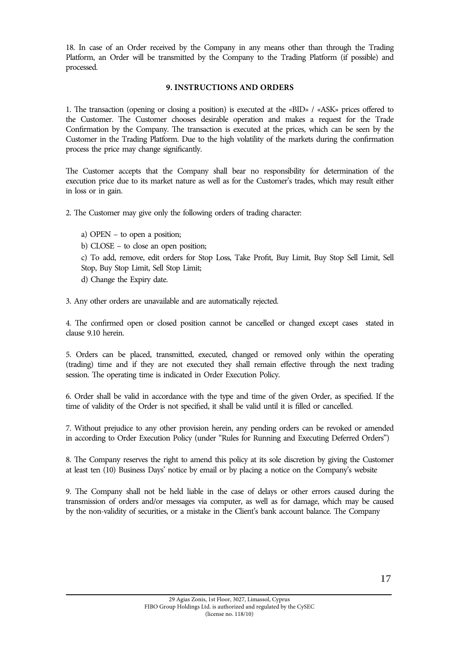18. In case of an Order received by the Company in any means other than through the Trading Platform, an Order will be transmitted by the Company to the Trading Platform (if possible) and processed.

# **9. INSTRUCTIONS AND ORDERS**

1. The transaction (opening or closing a position) is executed at the «BID» / «ASK» prices offered to the Customer. The Customer chooses desirable operation and makes a request for the Trade Confirmation by the Company. The transaction is executed at the prices, which can be seen by the Customer in the Trading Platform. Due to the high volatility of the markets during the confirmation process the price may change significantly.

The Customer accepts that the Company shall bear no responsibility for determination of the execution price due to its market nature as well as for the Customer's trades, which may result either in loss or in gain.

2. The Customer may give only the following orders of trading character:

a) OPEN – to open a position; b) CLOSE – to close an open position; c) To add, remove, edit orders for Stop Loss, Take Profit, Buy Limit, Buy Stop Sell Limit, Sell Stop, Buy Stop Limit, Sell Stop Limit; d) Change the Expiry date.

3. Any other orders are unavailable and are automatically rejected.

4. The confirmed open or closed position cannot be cancelled or changed except cases stated in clause 9.10 herein.

5. Orders can be placed, transmitted, executed, changed or removed only within the operating (trading) time and if they are not executed they shall remain effective through the next trading session. The operating time is indicated in Order Execution Policy.

6. Order shall be valid in accordance with the type and time of the given Order, as specified. If the time of validity of the Order is not specified, it shall be valid until it is filled or cancelled.

7. Without prejudice to any other provision herein, any pending orders can be revoked or amended in according to Order Execution Policy (under "Rules for Running and Executing Deferred Orders")

8. The Company reserves the right to amend this policy at its sole discretion by giving the Customer at least ten (10) Business Days' notice by email or by placing a notice on the Company's website

9. The Company shall not be held liable in the case of delays or other errors caused during the transmission of orders and/or messages via computer, as well as for damage, which may be caused by the non-validity of securities, or a mistake in the Client's bank account balance. The Company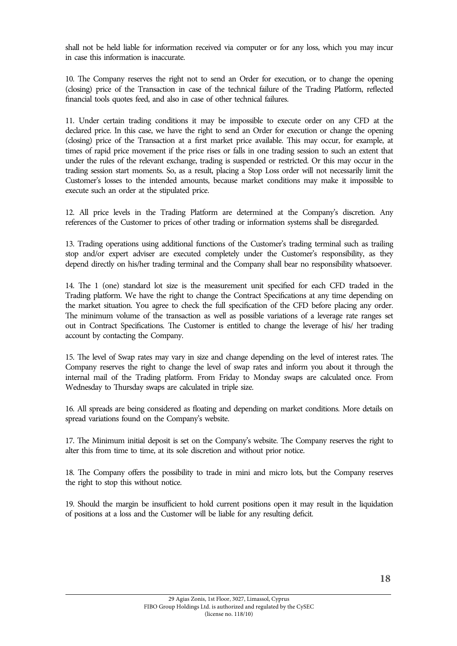shall not be held liable for information received via computer or for any loss, which you may incur in case this information is inaccurate.

10. The Company reserves the right not to send an Order for execution, or to change the opening (closing) price of the Transaction in case of the technical failure of the Trading Platform, reflected financial tools quotes feed, and also in case of other technical failures.

11. Under certain trading conditions it may be impossible to execute order on any CFD at the declared price. In this case, we have the right to send an Order for execution or change the opening (closing) price of the Transaction at a first market price available. This may occur, for example, at times of rapid price movement if the price rises or falls in one trading session to such an extent that under the rules of the relevant exchange, trading is suspended or restricted. Or this may occur in the trading session start moments. So, as a result, placing a Stop Loss order will not necessarily limit the Customer's losses to the intended amounts, because market conditions may make it impossible to execute such an order at the stipulated price.

12. All price levels in the Trading Platform are determined at the Company's discretion. Any references of the Customer to prices of other trading or information systems shall be disregarded.

13. Trading operations using additional functions of the Customer's trading terminal such as trailing stop and/or expert adviser are executed completely under the Customer's responsibility, as they depend directly on his/her trading terminal and the Company shall bear no responsibility whatsoever.

14. The 1 (one) standard lot size is the measurement unit specified for each CFD traded in the Trading platform. We have the right to change the Contract Specifications at any time depending on the market situation. You agree to check the full specification of the CFD before placing any order. The minimum volume of the transaction as well as possible variations of a leverage rate ranges set out in Contract Specifications. The Customer is entitled to change the leverage of his/ her trading account by contacting the Company.

15. The level of Swap rates may vary in size and change depending on the level of interest rates. The Company reserves the right to change the level of swap rates and inform you about it through the internal mail of the Trading platform. From Friday to Monday swaps are calculated once. From Wednesday to Thursday swaps are calculated in triple size.

16. All spreads are being considered as floating and depending on market conditions. More details on spread variations found on the Company's website.

17. The Minimum initial deposit is set on the Company's website. The Company reserves the right to alter this from time to time, at its sole discretion and without prior notice.

18. The Company offers the possibility to trade in mini and micro lots, but the Company reserves the right to stop this without notice.

19. Should the margin be insufficient to hold current positions open it may result in the liquidation of positions at a loss and the Customer will be liable for any resulting deficit.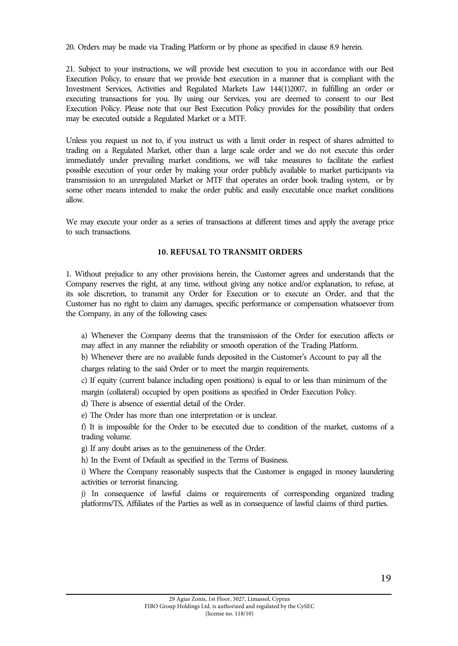20. Orders may be made via Trading Platform or by phone as specified in clause 8.9 herein.

21. Subject to your instructions, we will provide best execution to you in accordance with our Best Execution Policy, to ensure that we provide best execution in a manner that is compliant with the Investment Services, Activities and Regulated Markets Law 144(1)2007, in fulfilling an order or executing transactions for you. By using our Services, you are deemed to consent to our Best Execution Policy. Please note that our Best Execution Policy provides for the possibility that orders may be executed outside a Regulated Market or a MTF.

Unless you request us not to, if you instruct us with a limit order in respect of shares admitted to trading on a Regulated Market, other than a large scale order and we do not execute this order immediately under prevailing market conditions, we will take measures to facilitate the earliest possible execution of your order by making your order publicly available to market participants via transmission to an unregulated Market or MTF that operates an order book trading system, or by some other means intended to make the order public and easily executable once market conditions allow.

We may execute your order as a series of transactions at different times and apply the average price to such transactions.

## **10. REFUSAL TO TRANSMIT ORDERS**

1. Without prejudice to any other provisions herein, the Customer agrees and understands that the Company reserves the right, at any time, without giving any notice and/or explanation, to refuse, at its sole discretion, to transmit any Order for Execution or to execute an Order, and that the Customer has no right to claim any damages, specific performance or compensation whatsoever from the Company, in any of the following cases:

a) Whenever the Company deems that the transmission of the Order for execution affects or may affect in any manner the reliability or smooth operation of the Trading Platform.

b) Whenever there are no available funds deposited in the Customer's Account to pay all the charges relating to the said Order or to meet the margin requirements.

c) If equity (current balance including open positions) is equal to or less than minimum of the margin (collateral) occupied by open positions as specified in Order Execution Policy.

d) There is absence of essential detail of the Order.

e) The Order has more than one interpretation or is unclear.

f) It is impossible for the Order to be executed due to condition of the market, customs of a trading volume.

g) If any doubt arises as to the genuineness of the Order.

h) In the Event of Default as specified in the Terms of Business.

i) Where the Company reasonably suspects that the Customer is engaged in money laundering activities or terrorist financing.

j) In consequence of lawful claims or requirements of corresponding organized trading platforms/TS, Affiliates of the Parties as well as in consequence of lawful claims of third parties.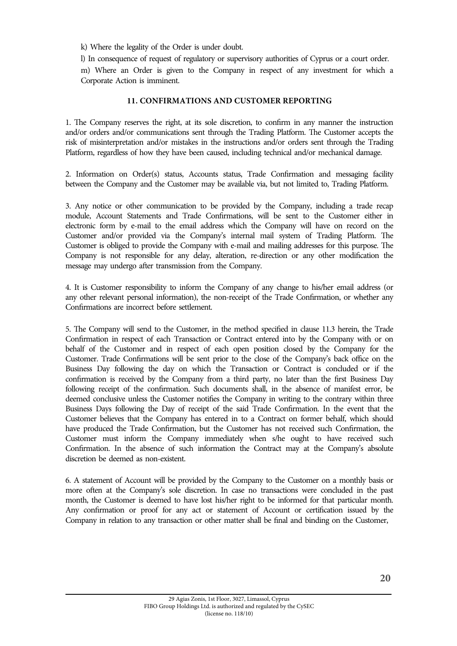k) Where the legality of the Order is under doubt.

l) In consequence of request of regulatory or supervisory authorities of Cyprus or a court order. m) Where an Order is given to the Company in respect of any investment for which a Corporate Action is imminent.

## **11. CONFIRMATIONS AND CUSTOMER REPORTING**

1. The Company reserves the right, at its sole discretion, to confirm in any manner the instruction and/or orders and/or communications sent through the Trading Platform. The Customer accepts the risk of misinterpretation and/or mistakes in the instructions and/or orders sent through the Trading Platform, regardless of how they have been caused, including technical and/or mechanical damage.

2. Information on Order(s) status, Accounts status, Trade Confirmation and messaging facility between the Company and the Customer may be available via, but not limited to, Trading Platform.

3. Any notice or other communication to be provided by the Company, including a trade recap module, Account Statements and Trade Confirmations, will be sent to the Customer either in electronic form by e-mail to the email address which the Company will have on record on the Customer and/or provided via the Company's internal mail system of Trading Platform. The Customer is obliged to provide the Company with e-mail and mailing addresses for this purpose. The Company is not responsible for any delay, alteration, re-direction or any other modification the message may undergo after transmission from the Company.

4. It is Customer responsibility to inform the Company of any change to his/her email address (or any other relevant personal information), the non-receipt of the Trade Confirmation, or whether any Confirmations are incorrect before settlement.

5. The Company will send to the Customer, in the method specified in clause 11.3 herein, the Trade Confirmation in respect of each Transaction or Contract entered into by the Company with or on behalf of the Customer and in respect of each open position closed by the Company for the Customer. Trade Confirmations will be sent prior to the close of the Company's back office on the Business Day following the day on which the Transaction or Contract is concluded or if the confirmation is received by the Company from a third party, no later than the first Business Day following receipt of the confirmation. Such documents shall, in the absence of manifest error, be deemed conclusive unless the Customer notifies the Company in writing to the contrary within three Business Days following the Day of receipt of the said Trade Confirmation. In the event that the Customer believes that the Company has entered in to a Contract on former behalf, which should have produced the Trade Confirmation, but the Customer has not received such Confirmation, the Customer must inform the Company immediately when s/he ought to have received such Confirmation. In the absence of such information the Contract may at the Company's absolute discretion be deemed as non-existent.

6. A statement of Account will be provided by the Company to the Customer on a monthly basis or more often at the Company's sole discretion. In case no transactions were concluded in the past month, the Customer is deemed to have lost his/her right to be informed for that particular month. Any confirmation or proof for any act or statement of Account or certification issued by the Company in relation to any transaction or other matter shall be final and binding on the Customer,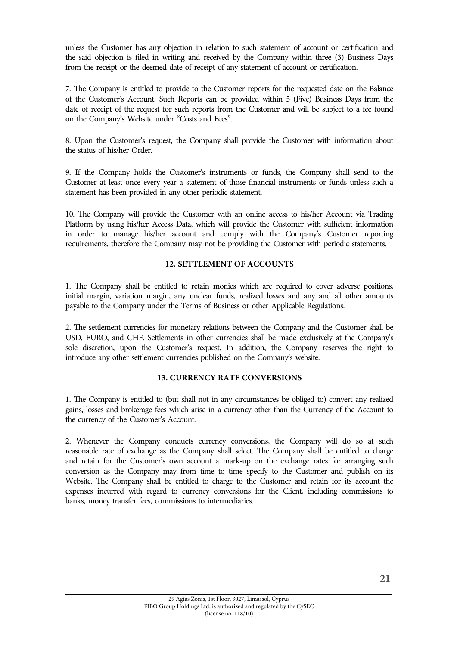unless the Customer has any objection in relation to such statement of account or certification and the said objection is filed in writing and received by the Company within three (3) Business Days from the receipt or the deemed date of receipt of any statement of account or certification.

7. The Company is entitled to provide to the Customer reports for the requested date on the Balance of the Customer's Account. Such Reports can be provided within 5 (Five) Business Days from the date of receipt of the request for such reports from the Customer and will be subject to a fee found on the Company's Website under "Costs and Fees".

8. Upon the Customer's request, the Company shall provide the Customer with information about the status of his/her Order.

9. If the Company holds the Customer's instruments or funds, the Company shall send to the Customer at least once every year a statement of those financial instruments or funds unless such a statement has been provided in any other periodic statement.

10. The Company will provide the Customer with an online access to his/her Account via Trading Platform by using his/her Access Data, which will provide the Customer with sufficient information in order to manage his/her account and comply with the Company's Customer reporting requirements, therefore the Company may not be providing the Customer with periodic statements.

## **12. SETTLEMENT OF ACCOUNTS**

1. The Company shall be entitled to retain monies which are required to cover adverse positions, initial margin, variation margin, any unclear funds, realized losses and any and all other amounts payable to the Company under the Terms of Business or other Applicable Regulations.

2. The settlement currencies for monetary relations between the Company and the Customer shall be USD, EURO, and CHF. Settlements in other currencies shall be made exclusively at the Company's sole discretion, upon the Customer's request. In addition, the Company reserves the right to introduce any other settlement currencies published on the Company's website.

#### **13. CURRENCY RATE CONVERSIONS**

1. The Company is entitled to (but shall not in any circumstances be obliged to) convert any realized gains, losses and brokerage fees which arise in a currency other than the Currency of the Account to the currency of the Customer's Account.

2. Whenever the Company conducts currency conversions, the Company will do so at such reasonable rate of exchange as the Company shall select. The Company shall be entitled to charge and retain for the Customer's own account a mark-up on the exchange rates for arranging such conversion as the Company may from time to time specify to the Customer and publish on its Website. The Company shall be entitled to charge to the Customer and retain for its account the expenses incurred with regard to currency conversions for the Client, including commissions to banks, money transfer fees, commissions to intermediaries.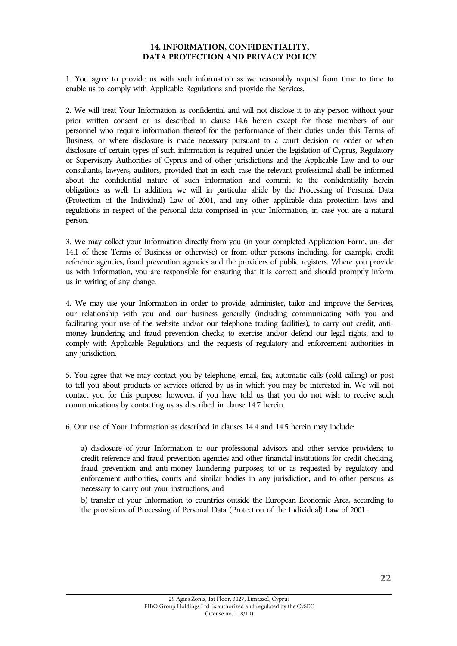## **14. INFORMATION, CONFIDENTIALITY, DATA PROTECTION AND PRIVACY POLICY**

1. You agree to provide us with such information as we reasonably request from time to time to enable us to comply with Applicable Regulations and provide the Services.

2. We will treat Your Information as confidential and will not disclose it to any person without your prior written consent or as described in clause 14.6 herein except for those members of our personnel who require information thereof for the performance of their duties under this Terms of Business, or where disclosure is made necessary pursuant to a court decision or order or when disclosure of certain types of such information is required under the legislation of Cyprus, Regulatory or Supervisory Authorities of Cyprus and of other jurisdictions and the Applicable Law and to our consultants, lawyers, auditors, provided that in each case the relevant professional shall be informed about the confidential nature of such information and commit to the confidentiality herein obligations as well. In addition, we will in particular abide by the Processing of Personal Data (Protection of the Individual) Law of 2001, and any other applicable data protection laws and regulations in respect of the personal data comprised in your Information, in case you are a natural person.

3. We may collect your Information directly from you (in your completed Application Form, un- der 14.1 of these Terms of Business or otherwise) or from other persons including, for example, credit reference agencies, fraud prevention agencies and the providers of public registers. Where you provide us with information, you are responsible for ensuring that it is correct and should promptly inform us in writing of any change.

4. We may use your Information in order to provide, administer, tailor and improve the Services, our relationship with you and our business generally (including communicating with you and facilitating your use of the website and/or our telephone trading facilities); to carry out credit, antimoney laundering and fraud prevention checks; to exercise and/or defend our legal rights; and to comply with Applicable Regulations and the requests of regulatory and enforcement authorities in any jurisdiction.

5. You agree that we may contact you by telephone, email, fax, automatic calls (cold calling) or post to tell you about products or services offered by us in which you may be interested in. We will not contact you for this purpose, however, if you have told us that you do not wish to receive such communications by contacting us as described in clause 14.7 herein.

6. Our use of Your Information as described in clauses 14.4 and 14.5 herein may include:

a) disclosure of your Information to our professional advisors and other service providers; to credit reference and fraud prevention agencies and other financial institutions for credit checking, fraud prevention and anti-money laundering purposes; to or as requested by regulatory and enforcement authorities, courts and similar bodies in any jurisdiction; and to other persons as necessary to carry out your instructions; and

b) transfer of your Information to countries outside the European Economic Area, according to the provisions of Processing of Personal Data (Protection of the Individual) Law of 2001.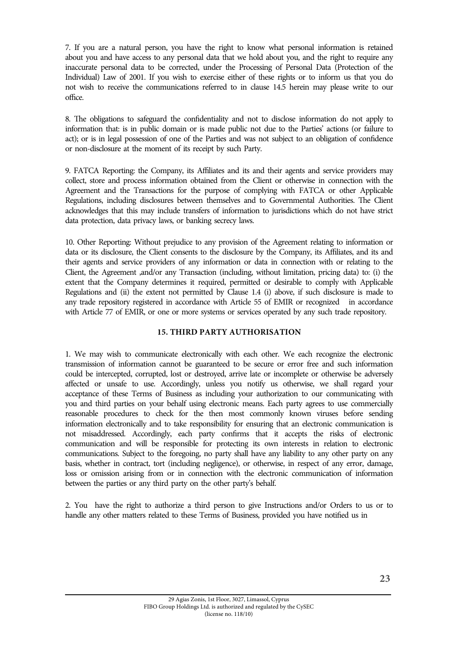7. If you are a natural person, you have the right to know what personal information is retained about you and have access to any personal data that we hold about you, and the right to require any inaccurate personal data to be corrected, under the Processing of Personal Data (Protection of the Individual) Law of 2001. If you wish to exercise either of these rights or to inform us that you do not wish to receive the communications referred to in clause 14.5 herein may please write to our office.

8. The obligations to safeguard the confidentiality and not to disclose information do not apply to information that: is in public domain or is made public not due to the Parties' actions (or failure to act); or is in legal possession of one of the Parties and was not subject to an obligation of confidence or non-disclosure at the moment of its receipt by such Party.

9. FATCA Reporting: the Company, its Affiliates and its and their agents and service providers may collect, store and process information obtained from the Client or otherwise in connection with the Agreement and the Transactions for the purpose of complying with FATCA or other Applicable Regulations, including disclosures between themselves and to Governmental Authorities. The Client acknowledges that this may include transfers of information to jurisdictions which do not have strict data protection, data privacy laws, or banking secrecy laws.

10. Other Reporting: Without prejudice to any provision of the Agreement relating to information or data or its disclosure, the Client consents to the disclosure by the Company, its Affiliates, and its and their agents and service providers of any information or data in connection with or relating to the Client, the Agreement ,and/or any Transaction (including, without limitation, pricing data) to: (i) the extent that the Company determines it required, permitted or desirable to comply with Applicable Regulations and (ii) the extent not permitted by Clause 1.4 (i) above, if such disclosure is made to any trade repository registered in accordance with Article 55 of EMIR or recognized in accordance with Article 77 of EMIR, or one or more systems or services operated by any such trade repository.

# **15. THIRD PARTY AUTHORISATION**

1. We may wish to communicate electronically with each other. We each recognize the electronic transmission of information cannot be guaranteed to be secure or error free and such information could be intercepted, corrupted, lost or destroyed, arrive late or incomplete or otherwise be adversely affected or unsafe to use. Accordingly, unless you notify us otherwise, we shall regard your acceptance of these Terms of Business as including your authorization to our communicating with you and third parties on your behalf using electronic means. Each party agrees to use commercially reasonable procedures to check for the then most commonly known viruses before sending information electronically and to take responsibility for ensuring that an electronic communication is not misaddressed. Accordingly, each party confirms that it accepts the risks of electronic communication and will be responsible for protecting its own interests in relation to electronic communications. Subject to the foregoing, no party shall have any liability to any other party on any basis, whether in contract, tort (including negligence), or otherwise, in respect of any error, damage, loss or omission arising from or in connection with the electronic communication of information between the parties or any third party on the other party's behalf.

2. You have the right to authorize a third person to give Instructions and/or Orders to us or to handle any other matters related to these Terms of Business, provided you have notified us in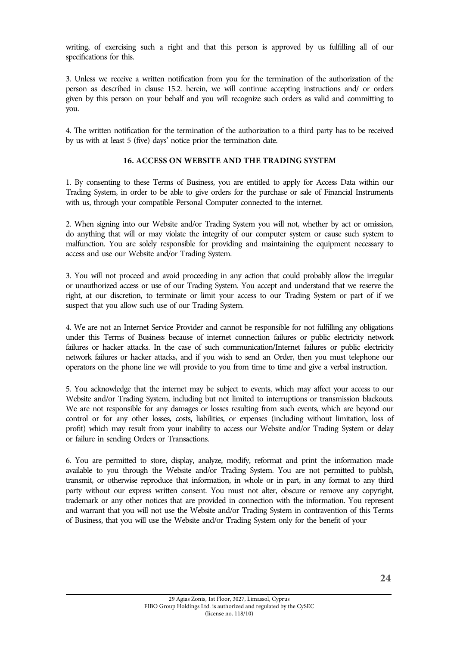writing, of exercising such a right and that this person is approved by us fulfilling all of our specifications for this.

3. Unless we receive a written notification from you for the termination of the authorization of the person as described in clause 15.2. herein, we will continue accepting instructions and/ or orders given by this person on your behalf and you will recognize such orders as valid and committing to you.

4. The written notification for the termination of the authorization to a third party has to be received by us with at least 5 (five) days' notice prior the termination date.

#### **16. ACCESS ON WEBSITE AND THE TRADING SYSTEM**

1. By consenting to these Terms of Business, you are entitled to apply for Access Data within our Trading System, in order to be able to give orders for the purchase or sale of Financial Instruments with us, through your compatible Personal Computer connected to the internet.

2. When signing into our Website and/or Trading System you will not, whether by act or omission, do anything that will or may violate the integrity of our computer system or cause such system to malfunction. You are solely responsible for providing and maintaining the equipment necessary to access and use our Website and/or Trading System.

3. You will not proceed and avoid proceeding in any action that could probably allow the irregular or unauthorized access or use of our Trading System. You accept and understand that we reserve the right, at our discretion, to terminate or limit your access to our Trading System or part of if we suspect that you allow such use of our Trading System.

4. We are not an Internet Service Provider and cannot be responsible for not fulfilling any obligations under this Terms of Business because of internet connection failures or public electricity network failures or hacker attacks. In the case of such communication/Internet failures or public electricity network failures or hacker attacks, and if you wish to send an Order, then you must telephone our operators on the phone line we will provide to you from time to time and give a verbal instruction.

5. You acknowledge that the internet may be subject to events, which may affect your access to our Website and/or Trading System, including but not limited to interruptions or transmission blackouts. We are not responsible for any damages or losses resulting from such events, which are beyond our control or for any other losses, costs, liabilities, or expenses (including without limitation, loss of profit) which may result from your inability to access our Website and/or Trading System or delay or failure in sending Orders or Transactions.

6. You are permitted to store, display, analyze, modify, reformat and print the information made available to you through the Website and/or Trading System. You are not permitted to publish, transmit, or otherwise reproduce that information, in whole or in part, in any format to any third party without our express written consent. You must not alter, obscure or remove any copyright, trademark or any other notices that are provided in connection with the information. You represent and warrant that you will not use the Website and/or Trading System in contravention of this Terms of Business, that you will use the Website and/or Trading System only for the benefit of your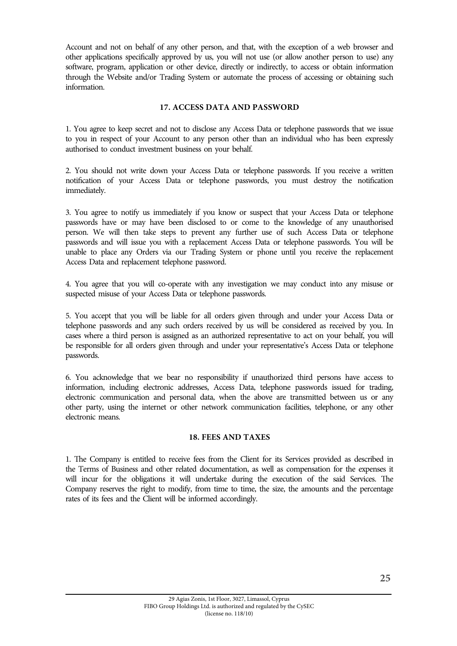Account and not on behalf of any other person, and that, with the exception of a web browser and other applications specifically approved by us, you will not use (or allow another person to use) any software, program, application or other device, directly or indirectly, to access or obtain information through the Website and/or Trading System or automate the process of accessing or obtaining such information.

## **17. ACCESS DATA AND PASSWORD**

1. You agree to keep secret and not to disclose any Access Data or telephone passwords that we issue to you in respect of your Account to any person other than an individual who has been expressly authorised to conduct investment business on your behalf.

2. You should not write down your Access Data or telephone passwords. If you receive a written notification of your Access Data or telephone passwords, you must destroy the notification immediately.

3. You agree to notify us immediately if you know or suspect that your Access Data or telephone passwords have or may have been disclosed to or come to the knowledge of any unauthorised person. We will then take steps to prevent any further use of such Access Data or telephone passwords and will issue you with a replacement Access Data or telephone passwords. You will be unable to place any Orders via our Trading System or phone until you receive the replacement Access Data and replacement telephone password.

4. You agree that you will co-operate with any investigation we may conduct into any misuse or suspected misuse of your Access Data or telephone passwords.

5. You accept that you will be liable for all orders given through and under your Access Data or telephone passwords and any such orders received by us will be considered as received by you. In cases where a third person is assigned as an authorized representative to act on your behalf, you will be responsible for all orders given through and under your representative's Access Data or telephone passwords.

6. You acknowledge that we bear no responsibility if unauthorized third persons have access to information, including electronic addresses, Access Data, telephone passwords issued for trading, electronic communication and personal data, when the above are transmitted between us or any other party, using the internet or other network communication facilities, telephone, or any other electronic means.

#### **18. FEES AND TAXES**

1. The Company is entitled to receive fees from the Client for its Services provided as described in the Terms of Business and other related documentation, as well as compensation for the expenses it will incur for the obligations it will undertake during the execution of the said Services. The Company reserves the right to modify, from time to time, the size, the amounts and the percentage rates of its fees and the Client will be informed accordingly.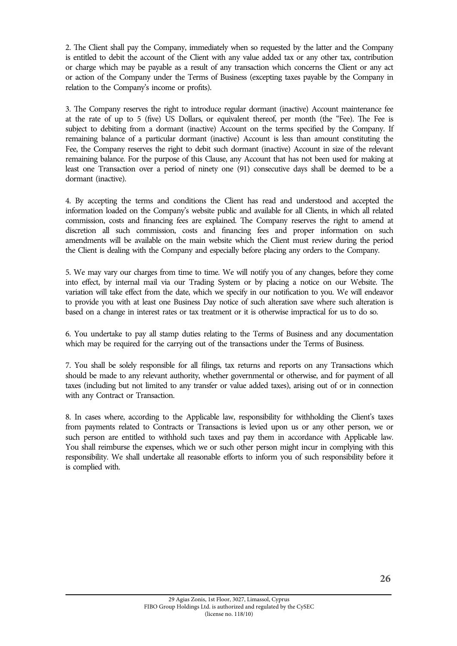2. The Client shall pay the Company, immediately when so requested by the latter and the Company is entitled to debit the account of the Client with any value added tax or any other tax, contribution or charge which may be payable as a result of any transaction which concerns the Client or any act or action of the Company under the Terms of Business (excepting taxes payable by the Company in relation to the Company's income or profits).

3. The Company reserves the right to introduce regular dormant (inactive) Account maintenance fee at the rate of up to 5 (five) US Dollars, or equivalent thereof, per month (the "Fee). The Fee is subject to debiting from a dormant (inactive) Account on the terms specified by the Company. If remaining balance of a particular dormant (inactive) Account is less than amount constituting the Fee, the Company reserves the right to debit such dormant (inactive) Account in size of the relevant remaining balance. For the purpose of this Clause, any Account that has not been used for making at least one Transaction over a period of ninety one (91) consecutive days shall be deemed to be a dormant (inactive).

4. By accepting the terms and conditions the Client has read and understood and accepted the information loaded on the Company's website public and available for all Clients, in which all related commission, costs and financing fees are explained. The Company reserves the right to amend at discretion all such commission, costs and financing fees and proper information on such amendments will be available on the main website which the Client must review during the period the Client is dealing with the Company and especially before placing any orders to the Company.

5. We may vary our charges from time to time. We will notify you of any changes, before they come into effect, by internal mail via our Trading System or by placing a notice on our Website. The variation will take effect from the date, which we specify in our notification to you. We will endeavor to provide you with at least one Business Day notice of such alteration save where such alteration is based on a change in interest rates or tax treatment or it is otherwise impractical for us to do so.

6. You undertake to pay all stamp duties relating to the Terms of Business and any documentation which may be required for the carrying out of the transactions under the Terms of Business.

7. You shall be solely responsible for all filings, tax returns and reports on any Transactions which should be made to any relevant authority, whether governmental or otherwise, and for payment of all taxes (including but not limited to any transfer or value added taxes), arising out of or in connection with any Contract or Transaction.

8. In cases where, according to the Applicable law, responsibility for withholding the Client's taxes from payments related to Contracts or Transactions is levied upon us or any other person, we or such person are entitled to withhold such taxes and pay them in accordance with Applicable law. You shall reimburse the expenses, which we or such other person might incur in complying with this responsibility. We shall undertake all reasonable efforts to inform you of such responsibility before it is complied with.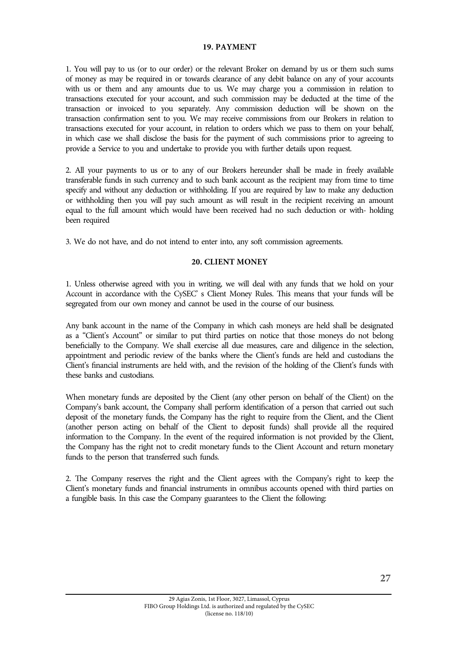#### **19. PAYMENT**

1. You will pay to us (or to our order) or the relevant Broker on demand by us or them such sums of money as may be required in or towards clearance of any debit balance on any of your accounts with us or them and any amounts due to us. We may charge you a commission in relation to transactions executed for your account, and such commission may be deducted at the time of the transaction or invoiced to you separately. Any commission deduction will be shown on the transaction confirmation sent to you. We may receive commissions from our Brokers in relation to transactions executed for your account, in relation to orders which we pass to them on your behalf, in which case we shall disclose the basis for the payment of such commissions prior to agreeing to provide a Service to you and undertake to provide you with further details upon request.

2. All your payments to us or to any of our Brokers hereunder shall be made in freely available transferable funds in such currency and to such bank account as the recipient may from time to time specify and without any deduction or withholding. If you are required by law to make any deduction or withholding then you will pay such amount as will result in the recipient receiving an amount equal to the full amount which would have been received had no such deduction or with- holding been required

3. We do not have, and do not intend to enter into, any soft commission agreements.

#### **20. CLIENT MONEY**

1. Unless otherwise agreed with you in writing, we will deal with any funds that we hold on your Account in accordance with the CySEC' s Client Money Rules. This means that your funds will be segregated from our own money and cannot be used in the course of our business.

Any bank account in the name of the Company in which cash moneys are held shall be designated as a "Client's Account" or similar to put third parties on notice that those moneys do not belong beneficially to the Company. We shall exercise all due measures, care and diligence in the selection, appointment and periodic review of the banks where the Client's funds are held and custodians the Client's financial instruments are held with, and the revision of the holding of the Client's funds with these banks and custodians.

When monetary funds are deposited by the Client (any other person on behalf of the Client) on the Company's bank account, the Company shall perform identification of a person that carried out such deposit of the monetary funds, the Company has the right to require from the Client, and the Client (another person acting on behalf of the Client to deposit funds) shall provide all the required information to the Company. In the event of the required information is not provided by the Client, the Company has the right not to credit monetary funds to the Client Account and return monetary funds to the person that transferred such funds.

2. The Company reserves the right and the Client agrees with the Company's right to keep the Client's monetary funds and financial instruments in omnibus accounts opened with third parties on a fungible basis. In this case the Company guarantees to the Client the following: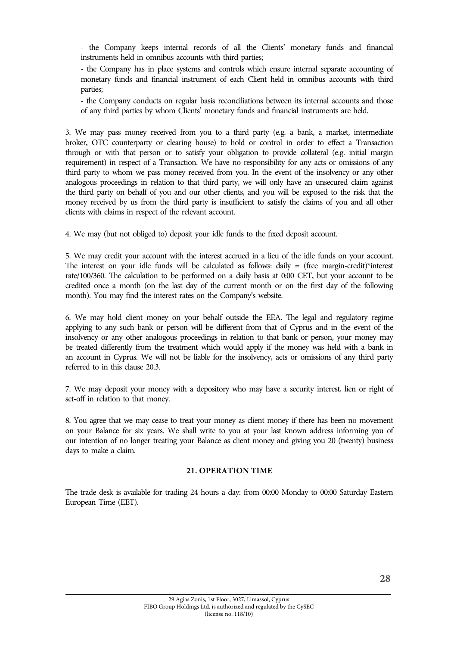- the Company keeps internal records of all the Clients' monetary funds and financial instruments held in omnibus accounts with third parties;

- the Company has in place systems and controls which ensure internal separate accounting of monetary funds and financial instrument of each Client held in omnibus accounts with third parties;

- the Company conducts on regular basis reconciliations between its internal accounts and those of any third parties by whom Clients' monetary funds and financial instruments are held.

3. We may pass money received from you to a third party (e.g. a bank, a market, intermediate broker, OTC counterparty or clearing house) to hold or control in order to effect a Transaction through or with that person or to satisfy your obligation to provide collateral (e.g. initial margin requirement) in respect of a Transaction. We have no responsibility for any acts or omissions of any third party to whom we pass money received from you. In the event of the insolvency or any other analogous proceedings in relation to that third party, we will only have an unsecured claim against the third party on behalf of you and our other clients, and you will be exposed to the risk that the money received by us from the third party is insufficient to satisfy the claims of you and all other clients with claims in respect of the relevant account.

4. We may (but not obliged to) deposit your idle funds to the fixed deposit account.

5. We may credit your account with the interest accrued in a lieu of the idle funds on your account. The interest on your idle funds will be calculated as follows: daily  $=$  (free margin-credit)\*interest rate/100/360. The calculation to be performed on a daily basis at 0:00 CET, but your account to be credited once a month (on the last day of the current month or on the first day of the following month). You may find the interest rates on the Company's website.

6. We may hold client money on your behalf outside the EEA. The legal and regulatory regime applying to any such bank or person will be different from that of Cyprus and in the event of the insolvency or any other analogous proceedings in relation to that bank or person, your money may be treated differently from the treatment which would apply if the money was held with a bank in an account in Cyprus. We will not be liable for the insolvency, acts or omissions of any third party referred to in this clause 20.3.

7. We may deposit your money with a depository who may have a security interest, lien or right of set-off in relation to that money.

8. You agree that we may cease to treat your money as client money if there has been no movement on your Balance for six years. We shall write to you at your last known address informing you of our intention of no longer treating your Balance as client money and giving you 20 (twenty) business days to make a claim.

#### **21. OPERATION TIME**

The trade desk is available for trading 24 hours a day: from 00:00 Monday to 00:00 Saturday Eastern European Time (EET).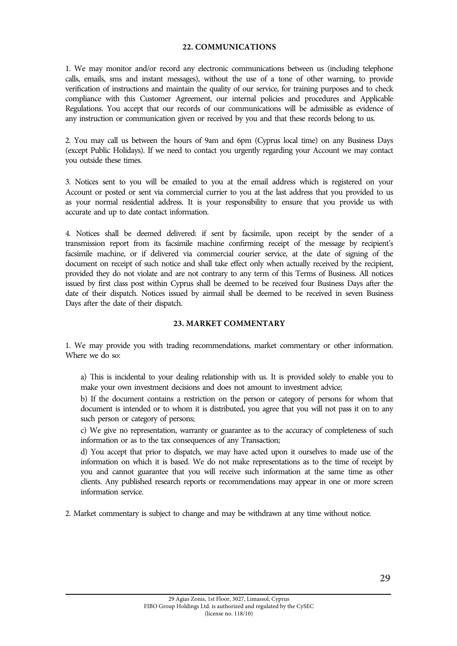#### **22. COMMUNICATIONS**

1. We may monitor and/or record any electronic communications between us (including telephone calls, emails, sms and instant messages), without the use of a tone of other warning, to provide verification of instructions and maintain the quality of our service, for training purposes and to check compliance with this Customer Agreement, our internal policies and procedures and Applicable Regulations. You accept that our records of our communications will be admissible as evidence of any instruction or communication given or received by you and that these records belong to us.

2. You may call us between the hours of 9am and 6pm (Cyprus local time) on any Business Days (except Public Holidays). If we need to contact you urgently regarding your Account we may contact you outside these times.

3. Notices sent to you will be emailed to you at the email address which is registered on your Account or posted or sent via commercial currier to you at the last address that you provided to us as your normal residential address. It is your responsibility to ensure that you provide us with accurate and up to date contact information.

4. Notices shall be deemed delivered: if sent by facsimile, upon receipt by the sender of a transmission report from its facsimile machine confirming receipt of the message by recipient's facsimile machine, or if delivered via commercial courier service, at the date of signing of the document on receipt of such notice and shall take effect only when actually received by the recipient, provided they do not violate and are not contrary to any term of this Terms of Business. All notices issued by first class post within Cyprus shall be deemed to be received four Business Days after the date of their dispatch. Notices issued by airmail shall be deemed to be received in seven Business Days after the date of their dispatch.

#### **23. MARKET COMMENTARY**

1. We may provide you with trading recommendations, market commentary or other information. Where we do so:

a) This is incidental to your dealing relationship with us. It is provided solely to enable you to make your own investment decisions and does not amount to investment advice;

b) If the document contains a restriction on the person or category of persons for whom that document is intended or to whom it is distributed, you agree that you will not pass it on to any such person or category of persons;

c) We give no representation, warranty or guarantee as to the accuracy of completeness of such information or as to the tax consequences of any Transaction;

d) You accept that prior to dispatch, we may have acted upon it ourselves to made use of the information on which it is based. We do not make representations as to the time of receipt by you and cannot guarantee that you will receive such information at the same time as other clients. Any published research reports or recommendations may appear in one or more screen information service.

2. Market commentary is subject to change and may be withdrawn at any time without notice.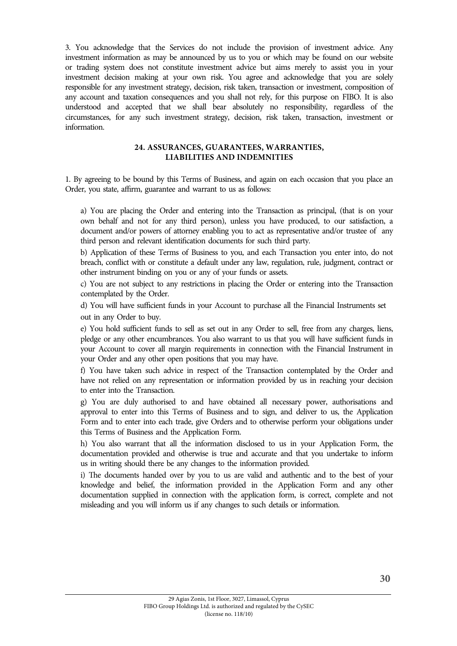3. You acknowledge that the Services do not include the provision of investment advice. Any investment information as may be announced by us to you or which may be found on our website or trading system does not constitute investment advice but aims merely to assist you in your investment decision making at your own risk. You agree and acknowledge that you are solely responsible for any investment strategy, decision, risk taken, transaction or investment, composition of any account and taxation consequences and you shall not rely, for this purpose on FIBO. It is also understood and accepted that we shall bear absolutely no responsibility, regardless of the circumstances, for any such investment strategy, decision, risk taken, transaction, investment or information.

## **24. ASSURANCES, GUARANTEES, WARRANTIES, LIABILITIES AND INDEMNITIES**

1. By agreeing to be bound by this Terms of Business, and again on each occasion that you place an Order, you state, affirm, guarantee and warrant to us as follows:

a) You are placing the Order and entering into the Transaction as principal, (that is on your own behalf and not for any third person), unless you have produced, to our satisfaction, a document and/or powers of attorney enabling you to act as representative and/or trustee of any third person and relevant identification documents for such third party.

b) Application of these Terms of Business to you, and each Transaction you enter into, do not breach, conflict with or constitute a default under any law, regulation, rule, judgment, contract or other instrument binding on you or any of your funds or assets.

c) You are not subject to any restrictions in placing the Order or entering into the Transaction contemplated by the Order.

d) You will have sufficient funds in your Account to purchase all the Financial Instruments set out in any Order to buy.

e) You hold sufficient funds to sell as set out in any Order to sell, free from any charges, liens, pledge or any other encumbrances. You also warrant to us that you will have sufficient funds in your Account to cover all margin requirements in connection with the Financial Instrument in your Order and any other open positions that you may have.

f) You have taken such advice in respect of the Transaction contemplated by the Order and have not relied on any representation or information provided by us in reaching your decision to enter into the Transaction.

g) You are duly authorised to and have obtained all necessary power, authorisations and approval to enter into this Terms of Business and to sign, and deliver to us, the Application Form and to enter into each trade, give Orders and to otherwise perform your obligations under this Terms of Business and the Application Form.

h) You also warrant that all the information disclosed to us in your Application Form, the documentation provided and otherwise is true and accurate and that you undertake to inform us in writing should there be any changes to the information provided.

i) The documents handed over by you to us are valid and authentic and to the best of your knowledge and belief, the information provided in the Application Form and any other documentation supplied in connection with the application form, is correct, complete and not misleading and you will inform us if any changes to such details or information.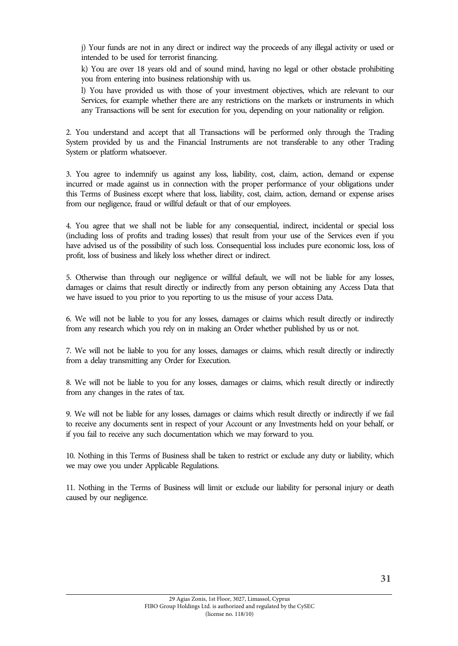j) Your funds are not in any direct or indirect way the proceeds of any illegal activity or used or intended to be used for terrorist financing.

k) You are over 18 years old and of sound mind, having no legal or other obstacle prohibiting you from entering into business relationship with us.

l) You have provided us with those of your investment objectives, which are relevant to our Services, for example whether there are any restrictions on the markets or instruments in which any Transactions will be sent for execution for you, depending on your nationality or religion.

2. You understand and accept that all Transactions will be performed only through the Trading System provided by us and the Financial Instruments are not transferable to any other Trading System or platform whatsoever.

3. You agree to indemnify us against any loss, liability, cost, claim, action, demand or expense incurred or made against us in connection with the proper performance of your obligations under this Terms of Business except where that loss, liability, cost, claim, action, demand or expense arises from our negligence, fraud or willful default or that of our employees.

4. You agree that we shall not be liable for any consequential, indirect, incidental or special loss (including loss of profits and trading losses) that result from your use of the Services even if you have advised us of the possibility of such loss. Consequential loss includes pure economic loss, loss of profit, loss of business and likely loss whether direct or indirect.

5. Otherwise than through our negligence or willful default, we will not be liable for any losses, damages or claims that result directly or indirectly from any person obtaining any Access Data that we have issued to you prior to you reporting to us the misuse of your access Data.

6. We will not be liable to you for any losses, damages or claims which result directly or indirectly from any research which you rely on in making an Order whether published by us or not.

7. We will not be liable to you for any losses, damages or claims, which result directly or indirectly from a delay transmitting any Order for Execution.

8. We will not be liable to you for any losses, damages or claims, which result directly or indirectly from any changes in the rates of tax.

9. We will not be liable for any losses, damages or claims which result directly or indirectly if we fail to receive any documents sent in respect of your Account or any Investments held on your behalf, or if you fail to receive any such documentation which we may forward to you.

10. Nothing in this Terms of Business shall be taken to restrict or exclude any duty or liability, which we may owe you under Applicable Regulations.

11. Nothing in the Terms of Business will limit or exclude our liability for personal injury or death caused by our negligence.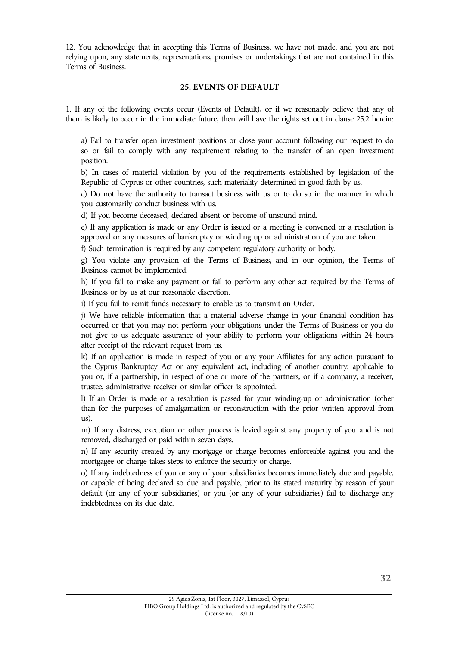12. You acknowledge that in accepting this Terms of Business, we have not made, and you are not relying upon, any statements, representations, promises or undertakings that are not contained in this Terms of Business.

#### **25. EVENTS OF DEFAULT**

1. If any of the following events occur (Events of Default), or if we reasonably believe that any of them is likely to occur in the immediate future, then will have the rights set out in clause 25.2 herein:

a) Fail to transfer open investment positions or close your account following our request to do so or fail to comply with any requirement relating to the transfer of an open investment position.

b) In cases of material violation by you of the requirements established by legislation of the Republic of Cyprus or other countries, such materiality determined in good faith by us.

c) Do not have the authority to transact business with us or to do so in the manner in which you customarily conduct business with us.

d) If you become deceased, declared absent or become of unsound mind.

e) If any application is made or any Order is issued or a meeting is convened or a resolution is approved or any measures of bankruptcy or winding up or administration of you are taken.

f) Such termination is required by any competent regulatory authority or body.

g) You violate any provision of the Terms of Business, and in our opinion, the Terms of Business cannot be implemented.

h) If you fail to make any payment or fail to perform any other act required by the Terms of Business or by us at our reasonable discretion.

i) If you fail to remit funds necessary to enable us to transmit an Order.

j) We have reliable information that a material adverse change in your financial condition has occurred or that you may not perform your obligations under the Terms of Business or you do not give to us adequate assurance of your ability to perform your obligations within 24 hours after receipt of the relevant request from us.

k) If an application is made in respect of you or any your Affiliates for any action pursuant to the Cyprus Bankruptcy Act or any equivalent act, including of another country, applicable to you or, if a partnership, in respect of one or more of the partners, or if a company, a receiver, trustee, administrative receiver or similar officer is appointed.

l) If an Order is made or a resolution is passed for your winding-up or administration (other than for the purposes of amalgamation or reconstruction with the prior written approval from us).

m) If any distress, execution or other process is levied against any property of you and is not removed, discharged or paid within seven days.

n) If any security created by any mortgage or charge becomes enforceable against you and the mortgagee or charge takes steps to enforce the security or charge.

o) If any indebtedness of you or any of your subsidiaries becomes immediately due and payable, or capable of being declared so due and payable, prior to its stated maturity by reason of your default (or any of your subsidiaries) or you (or any of your subsidiaries) fail to discharge any indebtedness on its due date.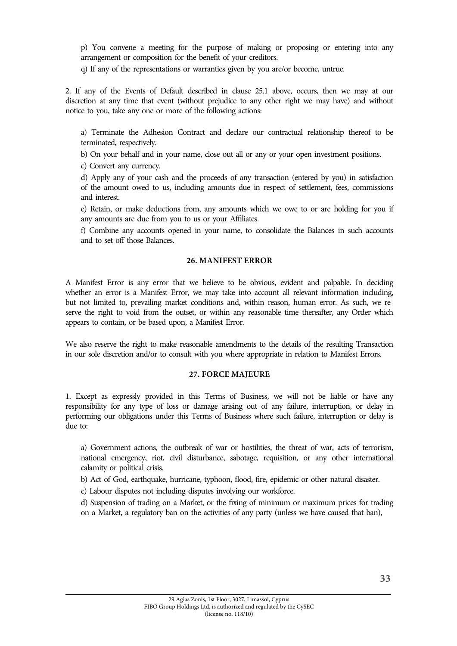p) You convene a meeting for the purpose of making or proposing or entering into any arrangement or composition for the benefit of your creditors.

q) If any of the representations or warranties given by you are/or become, untrue.

2. If any of the Events of Default described in clause 25.1 above, occurs, then we may at our discretion at any time that event (without prejudice to any other right we may have) and without notice to you, take any one or more of the following actions:

a) Terminate the Adhesion Contract and declare our contractual relationship thereof to be terminated, respectively.

b) On your behalf and in your name, close out all or any or your open investment positions.

c) Convert any currency.

d) Apply any of your cash and the proceeds of any transaction (entered by you) in satisfaction of the amount owed to us, including amounts due in respect of settlement, fees, commissions and interest.

e) Retain, or make deductions from, any amounts which we owe to or are holding for you if any amounts are due from you to us or your Affiliates.

f) Combine any accounts opened in your name, to consolidate the Balances in such accounts and to set off those Balances.

#### **26. MANIFEST ERROR**

A Manifest Error is any error that we believe to be obvious, evident and palpable. In deciding whether an error is a Manifest Error, we may take into account all relevant information including, but not limited to, prevailing market conditions and, within reason, human error. As such, we reserve the right to void from the outset, or within any reasonable time thereafter, any Order which appears to contain, or be based upon, a Manifest Error.

We also reserve the right to make reasonable amendments to the details of the resulting Transaction in our sole discretion and/or to consult with you where appropriate in relation to Manifest Errors.

#### **27. FORCE MAJEURE**

1. Except as expressly provided in this Terms of Business, we will not be liable or have any responsibility for any type of loss or damage arising out of any failure, interruption, or delay in performing our obligations under this Terms of Business where such failure, interruption or delay is due to:

a) Government actions, the outbreak of war or hostilities, the threat of war, acts of terrorism, national emergency, riot, civil disturbance, sabotage, requisition, or any other international calamity or political crisis.

b) Act of God, earthquake, hurricane, typhoon, flood, fire, epidemic or other natural disaster.

c) Labour disputes not including disputes involving our workforce.

d) Suspension of trading on a Market, or the fixing of minimum or maximum prices for trading on a Market, a regulatory ban on the activities of any party (unless we have caused that ban),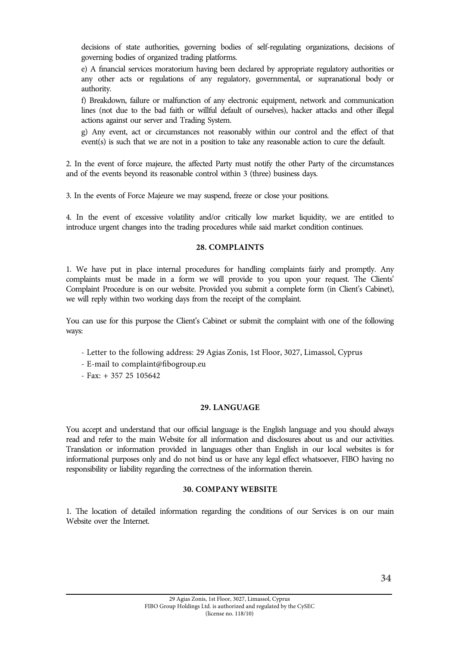decisions of state authorities, governing bodies of self-regulating organizations, decisions of governing bodies of organized trading platforms.

e) A financial services moratorium having been declared by appropriate regulatory authorities or any other acts or regulations of any regulatory, governmental, or supranational body or authority.

f) Breakdown, failure or malfunction of any electronic equipment, network and communication lines (not due to the bad faith or willful default of ourselves), hacker attacks and other illegal actions against our server and Trading System.

g) Any event, act or circumstances not reasonably within our control and the effect of that event(s) is such that we are not in a position to take any reasonable action to cure the default.

2. In the event of force majeure, the affected Party must notify the other Party of the circumstances and of the events beyond its reasonable control within 3 (three) business days.

3. In the events of Force Majeure we may suspend, freeze or close your positions.

4. In the event of excessive volatility and/or critically low market liquidity, we are entitled to introduce urgent changes into the trading procedures while said market condition continues.

#### **28. COMPLAINTS**

1. We have put in place internal procedures for handling complaints fairly and promptly. Any complaints must be made in a form we will provide to you upon your request. The Clients' Complaint Procedure is on our website. Provided you submit a complete form (in Client's Cabinet), we will reply within two working days from the receipt of the complaint.

You can use for this purpose the Client's Cabinet or submit the complaint with one of the following ways:

- Letter to the following address: 29 Agias Zonis, 1st Floor, 3027, Limassol, Cyprus
- E-mail to complaint@fibogroup.eu
- Fax: + 357 25 105642

#### **29. LANGUAGE**

You accept and understand that our official language is the English language and you should always read and refer to the main Website for all information and disclosures about us and our activities. Translation or information provided in languages other than English in our local websites is for informational purposes only and do not bind us or have any legal effect whatsoever, FIBO having no responsibility or liability regarding the correctness of the information therein.

## **30. COMPANY WEBSITE**

1. The location of detailed information regarding the conditions of our Services is on our main Website over the Internet.